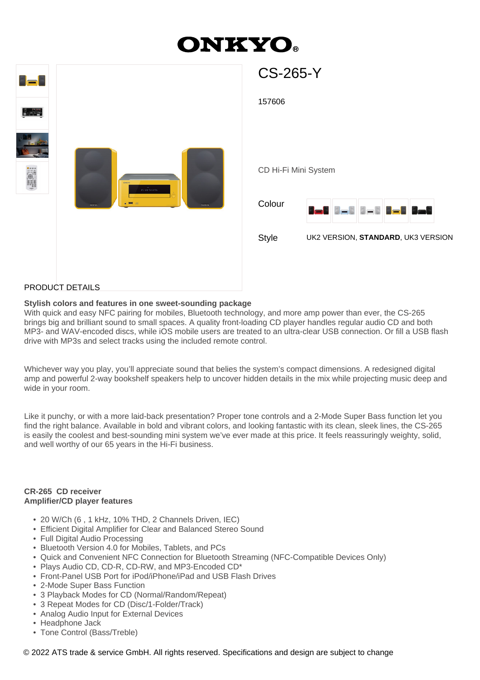# **ONKYO.**

| <b>LE</b> E                                                           | <b>CS-265-Y</b>                                                                                             |
|-----------------------------------------------------------------------|-------------------------------------------------------------------------------------------------------------|
| e din                                                                 | 157606                                                                                                      |
| <b>September</b><br>$\overline{\theta1}$ ve to a th<br>GNKYO<br>онжуо | CD Hi-Fi Mini System<br>Colour<br><b>Det Det Det Det Det</b><br>Style<br>UK2 VERSION, STANDARD, UK3 VERSION |
|                                                                       |                                                                                                             |

#### PRODUCT DETAILS

#### **Stylish colors and features in one sweet-sounding package**

With quick and easy NFC pairing for mobiles, Bluetooth technology, and more amp power than ever, the CS-265 brings big and brilliant sound to small spaces. A quality front-loading CD player handles regular audio CD and both MP3- and WAV-encoded discs, while iOS mobile users are treated to an ultra-clear USB connection. Or fill a USB flash drive with MP3s and select tracks using the included remote control.

Whichever way you play, you'll appreciate sound that belies the system's compact dimensions. A redesigned digital amp and powerful 2-way bookshelf speakers help to uncover hidden details in the mix while projecting music deep and wide in your room.

Like it punchy, or with a more laid-back presentation? Proper tone controls and a 2-Mode Super Bass function let you find the right balance. Available in bold and vibrant colors, and looking fantastic with its clean, sleek lines, the CS-265 is easily the coolest and best-sounding mini system we've ever made at this price. It feels reassuringly weighty, solid, and well worthy of our 65 years in the Hi-Fi business.

#### **CR-265 CD receiver Amplifier/CD player features**

- 20 W/Ch (6 , 1 kHz, 10% THD, 2 Channels Driven, IEC)
- Efficient Digital Amplifier for Clear and Balanced Stereo Sound
- Full Digital Audio Processing
- Bluetooth Version 4.0 for Mobiles, Tablets, and PCs
- Quick and Convenient NFC Connection for Bluetooth Streaming (NFC-Compatible Devices Only)
- Plays Audio CD, CD-R, CD-RW, and MP3-Encoded CD\*
- Front-Panel USB Port for iPod/iPhone/iPad and USB Flash Drives
- 2-Mode Super Bass Function
- 3 Playback Modes for CD (Normal/Random/Repeat)
- 3 Repeat Modes for CD (Disc/1-Folder/Track)
- Analog Audio Input for External Devices
- Headphone Jack
- Tone Control (Bass/Treble)

© 2022 ATS trade & service GmbH. All rights reserved. Specifications and design are subject to change